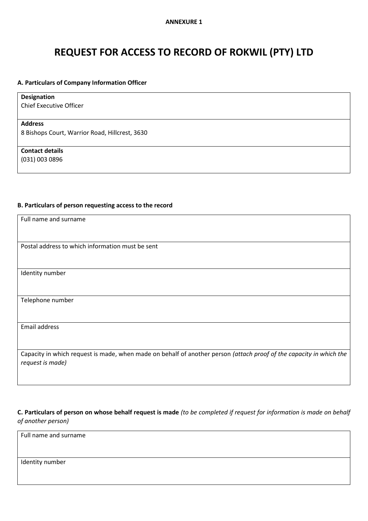# **REQUEST FOR ACCESS TO RECORD OF ROKWIL (PTY) LTD**

#### **A. Particulars of Company Information Officer**

| <b>Designation</b>                             |
|------------------------------------------------|
| <b>Chief Executive Officer</b>                 |
|                                                |
| <b>Address</b>                                 |
| 8 Bishops Court, Warrior Road, Hillcrest, 3630 |
|                                                |
| <b>Contact details</b>                         |
| (031) 003 0896                                 |
|                                                |

#### **B. Particulars of person requesting access to the record**

| Full name and surname                                                                                                                   |
|-----------------------------------------------------------------------------------------------------------------------------------------|
|                                                                                                                                         |
| Postal address to which information must be sent                                                                                        |
|                                                                                                                                         |
|                                                                                                                                         |
| Identity number                                                                                                                         |
|                                                                                                                                         |
| Telephone number                                                                                                                        |
|                                                                                                                                         |
| Email address                                                                                                                           |
|                                                                                                                                         |
| Capacity in which request is made, when made on behalf of another person (attach proof of the capacity in which the<br>request is made) |
|                                                                                                                                         |

**C. Particulars of person on whose behalf request is made** *(to be completed if request for information is made on behalf of another person)*

Full name and surname

Identity number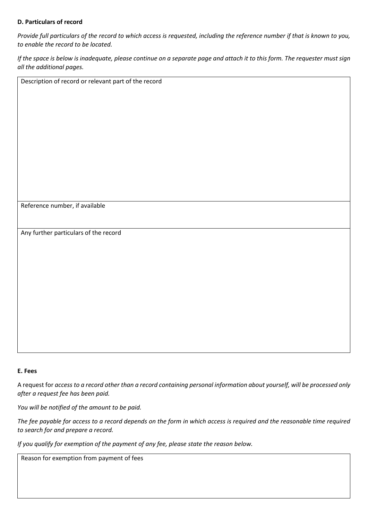## **D. Particulars of record**

*Provide full particulars of the record to which access is requested, including the reference number if that is known to you, to enable the record to be located.*

*If the space is below is inadequate, please continue on a separate page and attach it to this form. The requester must sign all the additional pages.*

Reference number, if available

Any further particulars of the record

Description of record or relevant part of the record

## **E. Fees**

A request for *access to a record other than a record containing personal information about yourself, will be processed only after a request fee has been paid.*

*You will be notified of the amount to be paid.*

*The fee payable for access to a record depends on the form in which access is required and the reasonable time required to search for and prepare a record.*

*If you qualify for exemption of the payment of any fee, please state the reason below.*

Reason for exemption from payment of fees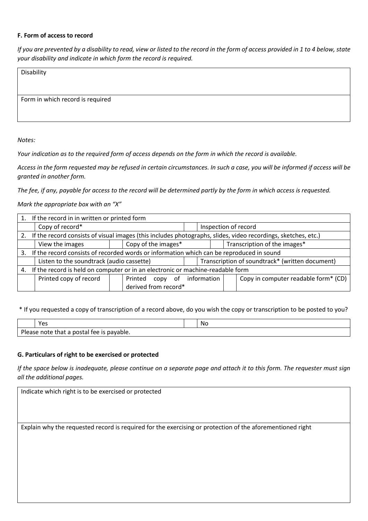#### **F. Form of access to record**

*If you are prevented by a disability to read, view or listed to the record in the form of access provided in 1 to 4 below, state your disability and indicate in which form the record is required.*

| Disability                       |  |
|----------------------------------|--|
|                                  |  |
| Form in which record is required |  |
|                                  |  |
|                                  |  |

*Notes:*

*Your indication as to the required form of access depends on the form in which the record is available.*

*Access in the form requested may be refused in certain circumstances. In such a case, you will be informed if access will be granted in another form.*

*The fee, if any, payable for access to the record will be determined partly by the form in which access is requested.*

*Mark the appropriate box with an "X"*

|    | If the record in in written or printed form                                                                   |                     |                      |  |                                                 |                      |  |  |                              |                                      |  |
|----|---------------------------------------------------------------------------------------------------------------|---------------------|----------------------|--|-------------------------------------------------|----------------------|--|--|------------------------------|--------------------------------------|--|
|    | Copy of record*                                                                                               |                     |                      |  |                                                 | Inspection of record |  |  |                              |                                      |  |
| 2. | If the record consists of visual images (this includes photographs, slides, video recordings, sketches, etc.) |                     |                      |  |                                                 |                      |  |  |                              |                                      |  |
|    | View the images                                                                                               | Copy of the images* |                      |  |                                                 |                      |  |  | Transcription of the images* |                                      |  |
|    | 3. If the record consists of recorded words or information which can be reproduced in sound                   |                     |                      |  |                                                 |                      |  |  |                              |                                      |  |
|    | Listen to the soundtrack (audio cassette)                                                                     |                     |                      |  | Transcription of soundtrack* (written document) |                      |  |  |                              |                                      |  |
|    | If the record is held on computer or in an electronic or machine-readable form                                |                     |                      |  |                                                 |                      |  |  |                              |                                      |  |
|    | Printed copy of record                                                                                        |                     | Printed copy         |  |                                                 | of information       |  |  |                              | Copy in computer readable form* (CD) |  |
|    |                                                                                                               |                     | derived from record* |  |                                                 |                      |  |  |                              |                                      |  |

\* If you requested a copy of transcription of a record above, do you wish the copy or transcription to be posted to you?

|                                                         | Yes |  | .No |  |  |
|---------------------------------------------------------|-----|--|-----|--|--|
| Ple.<br>postal fee is payable.<br>that a<br>note<br>ase |     |  |     |  |  |

# **G. Particulars of right to be exercised or protected**

*If the space below is inadequate, please continue on a separate page and attach it to this form. The requester must sign all the additional pages.*

| Indicate which right is to be exercised or protected                                                      |  |  |  |  |  |  |  |
|-----------------------------------------------------------------------------------------------------------|--|--|--|--|--|--|--|
|                                                                                                           |  |  |  |  |  |  |  |
|                                                                                                           |  |  |  |  |  |  |  |
|                                                                                                           |  |  |  |  |  |  |  |
| Explain why the requested record is required for the exercising or protection of the aforementioned right |  |  |  |  |  |  |  |
|                                                                                                           |  |  |  |  |  |  |  |
|                                                                                                           |  |  |  |  |  |  |  |
|                                                                                                           |  |  |  |  |  |  |  |
|                                                                                                           |  |  |  |  |  |  |  |
|                                                                                                           |  |  |  |  |  |  |  |
|                                                                                                           |  |  |  |  |  |  |  |
|                                                                                                           |  |  |  |  |  |  |  |